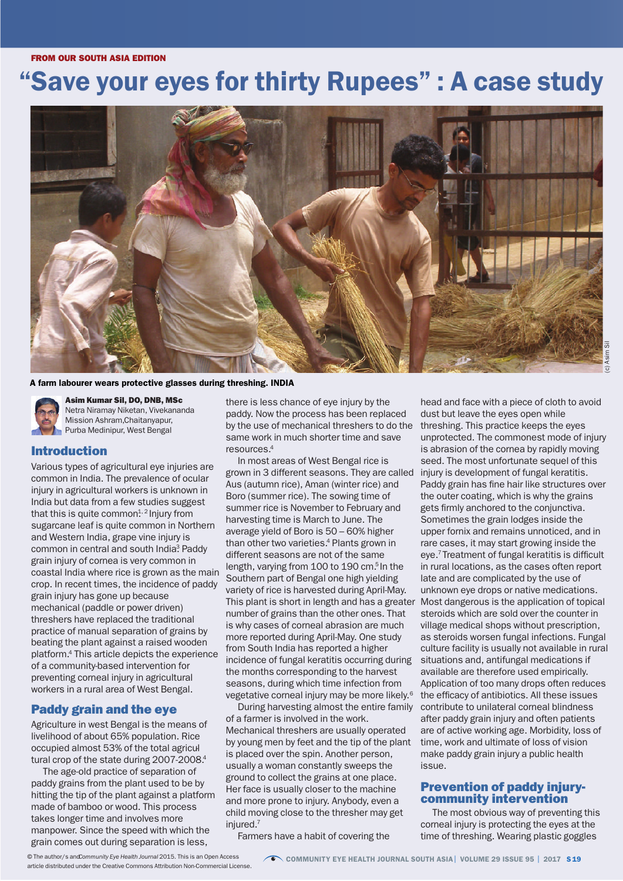### FROM OUR SOUTH ASIA EDITION FROM OUR SOUTH ASIA EDITION

# "Save your eyes for thirty Rupees" : A case study



### A farm labourer wears protective glasses during threshing. INDIA



Asim Kumar Sil, DO, DNB, MSc Netra Niramay Niketan, Vivekananda Mission Ashram,Chaitanyapur, Purba Medinipur, West Bengal

## Introduction

Various types of agricultural eye injuries are common in India. The prevalence of ocular injury in agricultural workers is unknown in India but data from a few studies suggest that this is quite common $^{\rm 1, 2}$ Injury from sugarcane leaf is quite common in Northern and Western India, grape vine injury is common in central and south India? Paddy grain injury of cornea is very common in coastal India where rice is grown as the main crop. In recent times, the incidence of paddy grain injury has gone up because mechanical (paddle or power driven) threshers have replaced the traditional practice of manual separation of grains by beating the plant against a raised wooden platform. <sup>4</sup> This article depicts the experience of a community-based intervention for preventing corneal injury in agricultural workers in a rural area of West Bengal.

### Paddy grain and the eye

Agriculture in west Bengal is the means of livelihood of about 65% population. Rice occupied almost 53% of the total agricul tural crop of the state during 2007-2008.<sup>4</sup>

The age-old practice of separation of paddy grains from the plant used to be by hitting the tip of the plant against a platform made of bamboo or wood. This process takes longer time and involves more manpower. Since the speed with which the grain comes out during separation is less,

there is less chance of eye injury by the paddy. Now the process has been replaced by the use of mechanical threshers to do the same work in much shorter time and save resources. 4

In most areas of West Bengal rice is grown in 3 different seasons. They are called Aus (autumn rice), Aman (winter rice) and Boro (summer rice). The sowing time of summer rice is November to February and harvesting time is March to June. The average yield of Boro is 50 – 60% higher than other two varieties. <sup>4</sup> Plants grown in different seasons are not of the same length, varying from 100 to 190 cm. <sup>5</sup> In the Southern part of Bengal one high yielding variety of rice is harvested during April-May. This plant is short in length and has a greater number of grains than the other ones. That is why cases of corneal abrasion are much more reported during April-May. One study from South India has reported a higher incidence of fungal keratitis occurring during the months corresponding to the harvest seasons, during which time infection from vegetative corneal injury may be more likely. 6

During harvesting almost the entire family of a farmer is involved in the work. Mechanical threshers are usually operated by young men by feet and the tip of the plant is placed over the spin. Another person, usually a woman constantly sweeps the ground to collect the grains at one place. Her face is usually closer to the machine and more prone to injury. Anybody, even a child moving close to the thresher may get injured. 7

Farmers have a habit of covering the

head and face with a piece of cloth to avoid dust but leave the eyes open while threshing. This practice keeps the eyes unprotected. The commonest mode of injury is abrasion of the cornea by rapidly moving seed. The most unfortunate sequel of this injury is development of fungal keratitis. Paddy grain has fine hair like structures over the outer coating, which is why the grains gets firmly anchored to the conjunctiva. Sometimes the grain lodges inside the upper fornix and remains unnoticed, and in rare cases, it may start growing inside the eye.<sup>7</sup> Treatment of fungal keratitis is difficult in rural locations, as the cases often report late and are complicated by the use of unknown eye drops or native medications. Most dangerous is the application of topical steroids which are sold over the counter in village medical shops without prescription, as steroids worsen fungal infections. Fungal culture facility is usually not available in rural situations and, antifungal medications if available are therefore used empirically. Application of too many drops often reduces the efficacy of antibiotics. All these issues contribute to unilateral corneal blindness after paddy grain injury and often patients are of active working age. Morbidity, loss of time, work and ultimate of loss of vision make paddy grain injury a public health issue.

# Prevention of paddy injury- community intervention

The most obvious way of preventing this corneal injury is protecting the eyes at the time of threshing. Wearing plastic goggles